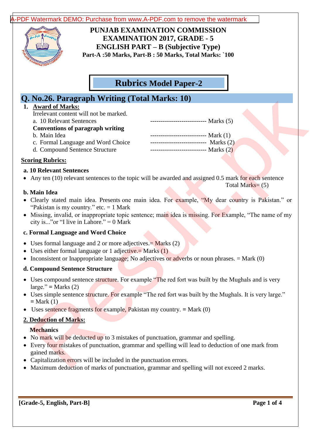[A-PDF Watermark DEMO: Purchase from www.A-PDF.com to remove the watermark](http://www.a-pdf.com/?wm-demo)



**PUNJAB EXAMINATION COMMISSION EXAMINATION 2017, GRADE - 5 ENGLISH PART – B (Subjective Type) Part-A :50 Marks, Part-B : 50 Marks, Total Marks: `100**

**Rubrics Model Paper-2**

## **Q. No.26. Paragraph Writing (Total Marks: 10)**

#### **1. Award of Marks:**

| <b>No.26. Paragraph Writing (Total Marks: 10)</b>                                                                                                                                                                         |  |
|---------------------------------------------------------------------------------------------------------------------------------------------------------------------------------------------------------------------------|--|
| <b>Award of Marks:</b><br>Irrelevant content will not be marked.<br>a. 10 Relevant Sentences<br>$\frac{1}{2}$ Marks (5)                                                                                                   |  |
| <b>Conventions of paragraph writing</b>                                                                                                                                                                                   |  |
| -------------------------- Mark (1)<br>b. Main Idea                                                                                                                                                                       |  |
| --------------------------- Marks (2)<br>c. Formal Language and Word Choice                                                                                                                                               |  |
| --------------------------- Marks (2)<br>d. Compound Sentence Structure                                                                                                                                                   |  |
| <u>ring Rubrics:</u>                                                                                                                                                                                                      |  |
| <b>10 Relevant Sentences</b>                                                                                                                                                                                              |  |
| Any ten (10) relevant sentences to the topic will be awarded and assigned 0.5 mark for each sentence<br>Total Marks= $(5)$                                                                                                |  |
| Main Idea                                                                                                                                                                                                                 |  |
| Clearly stated main idea. Presents one main idea. For example, "My dear country is Pakistan." or<br>"Pakistan is my country." etc. $= 1$ Mark                                                                             |  |
| Missing, invalid, or inappropriate topic sentence; main idea is missing. For Example, "The name of my<br>city is" or "I live in Lahore." = $0$ Mark                                                                       |  |
| <b>Formal Language and Word Choice</b>                                                                                                                                                                                    |  |
| Uses formal language and 2 or more adjectives. $=$ Marks (2)<br>Uses either formal language or 1 adjective. = Marks $(1)$<br>Inconsistent or Inappropriate language; No adjectives or adverbs or noun phrases. = Mark (0) |  |
| <b>Compound Sentence Structure</b>                                                                                                                                                                                        |  |
| Uses compound sentence structure. For example "The red fort was built by the Mughals and is very<br>large." = Marks $(2)$                                                                                                 |  |
| Uses simple sentence structure. For example "The red fort was built by the Mughals. It is very large."<br>$= Mark(1)$                                                                                                     |  |
| Uses sentence fragments for example, Pakistan my country. $=$ Mark (0)                                                                                                                                                    |  |
| Deduction of Marks:                                                                                                                                                                                                       |  |
| <b>Mechanics</b>                                                                                                                                                                                                          |  |
| No mark will be deducted up to 3 mistakes of punctuation, grammar and spelling.                                                                                                                                           |  |
| Every four mistakes of punctuation, grammar and spelling will lead to deduction of one mark from                                                                                                                          |  |
| gained marks.                                                                                                                                                                                                             |  |
| Capitalization errors will be included in the punctuation errors.                                                                                                                                                         |  |
| Maximum deduction of marks of punctuation, grammar and spelling will not exceed 2 marks                                                                                                                                   |  |

#### **Scoring Rubrics:**

#### **a. 10 Relevant Sentences**

#### **b. Main Idea**

- Clearly stated main idea. Presents one main idea. For example, "My dear country is Pakistan." or "Pakistan is my country." etc.  $= 1$  Mark
- Missing, invalid, or inappropriate topic sentence; main idea is missing. For Example, "The name of my city is..."or "I live in Lahore." = 0 Mark

#### **c. Formal Language and Word Choice**

- Uses formal language and 2 or more adjectives. $=$  Marks (2)
- Uses either formal language or 1 adjective.  $=$  Marks  $(1)$
- Inconsistent or Inappropriate language; No adjectives or adverbs or noun phrases. = Mark (0)

#### **d. Compound Sentence Structure**

- Uses compound sentence structure. For example "The red fort was built by the Mughals and is very  $\text{large."} = \text{Marks (2)}$
- Uses simple sentence structure. For example "The red fort was built by the Mughals. It is very large."  $=$  Mark  $(1)$
- Uses sentence fragments for example, Pakistan my country. **=** Mark (0)

#### **2. Deduction of Marks:**

#### **Mechanics**

- No mark will be deducted up to 3 mistakes of punctuation, grammar and spelling.
- Every four mistakes of punctuation, grammar and spelling will lead to deduction of one mark from gained marks.
- Capitalization errors will be included in the punctuation errors.
- Maximum deduction of marks of punctuation, grammar and spelling will not exceed 2 marks.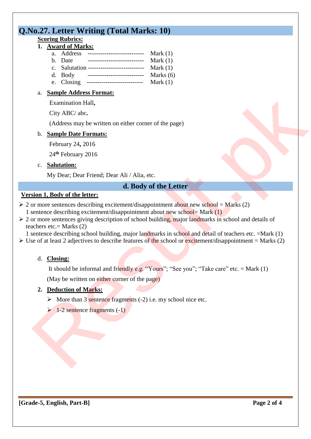# **Q.No.27. Letter Writing (Total Marks: 10)**

#### **Scoring Rubrics: 1. A**

| ward of Marks: |            |                                           |             |  |  |  |  |
|----------------|------------|-------------------------------------------|-------------|--|--|--|--|
|                |            | a. Address ----------------------------   | Mark $(1)$  |  |  |  |  |
|                | b. Date    | _____________________________             | Mark $(1)$  |  |  |  |  |
|                |            | c. Salutation --------------------------- | Mark $(1)$  |  |  |  |  |
|                | d. Body    | _____________________________             | Marks $(6)$ |  |  |  |  |
|                | e. Closing | _____________________________             | Mark $(1)$  |  |  |  |  |

#### a. **Sample Address Format:**

Examination Hall**,**

City ABC/ abc**.**

(Address may be written on either corner of the page)

#### b. **Sample Date Formats:**

February 24**,** 2016

24**th** February 2016

#### c. **Salutation:**

My Dear; Dear Friend; Dear Ali / Alia, etc.

#### **d. Body of the Letter**

#### **Version 1, Body of the letter:**

- $\geq 2$  or more sentences describing excitement/disappointment about new school = Marks (2) 1 sentence describing excitement/disappointment about new school= Mark (1)
- $\geq 2$  or more sentences giving description of school building, major landmarks in school and details of teachers etc.  $=$  Marks (2) 1. Simulate Maldress Formati;<br>
Examination Itilit,<br>
City ABC/ abe.<br>
(Address may be written on either corner of the page)<br>
1. Simulate Dark Evarants:<br>
24<sup>th</sup> February 24, 2016<br>
24<sup>th</sup> February 24, 2016<br>
24<sup>th</sup> February 24

1 sentence describing school building, major landmarks in school and detail of teachers etc. =Mark (1)

- $\triangleright$  Use of at least 2 adjectives to describe features of the school or excitement/disappointment = Marks (2)
	- d. **Closing:**

It should be informal and friendly e.g. "Yours"; "See you"; "Take care" etc. = Mark  $(1)$ 

(May be written on either corner of the page)

### **2. Deduction of Marks:**

- $\triangleright$  More than 3 sentence fragments (-2) i.e. my school nice etc.
-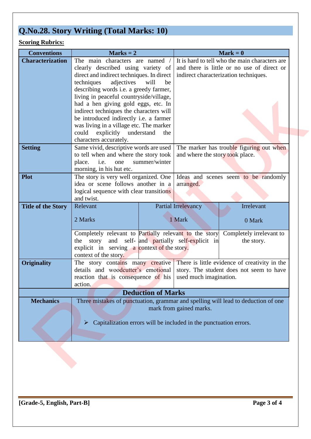# **Q.No.28. Story Writing (Total Marks: 10)**

### **Scoring Rubrics:**

| <b>Conventions</b>        | $Marks = 2$                                                                                                                                                                                                  |                                                              | $Mark = 0$                                                         |                                                                                   |  |
|---------------------------|--------------------------------------------------------------------------------------------------------------------------------------------------------------------------------------------------------------|--------------------------------------------------------------|--------------------------------------------------------------------|-----------------------------------------------------------------------------------|--|
| <b>Characterization</b>   | The main characters are named /                                                                                                                                                                              |                                                              |                                                                    | It is hard to tell who the main characters are                                    |  |
|                           | clearly described using variety of                                                                                                                                                                           |                                                              |                                                                    | and there is little or no use of direct or                                        |  |
|                           | direct and indirect techniques. In direct                                                                                                                                                                    |                                                              |                                                                    | indirect characterization techniques.                                             |  |
|                           | techniques<br>adjectives                                                                                                                                                                                     | will<br>be                                                   |                                                                    |                                                                                   |  |
|                           |                                                                                                                                                                                                              | describing words i.e. a greedy farmer,                       |                                                                    |                                                                                   |  |
|                           | living in peaceful countryside/village,                                                                                                                                                                      |                                                              |                                                                    |                                                                                   |  |
|                           | had a hen giving gold eggs, etc. In<br>indirect techniques the characters will<br>be introduced indirectly i.e. a farmer<br>was living in a village etc. The marker<br>explicitly understand<br>could<br>the |                                                              |                                                                    |                                                                                   |  |
|                           |                                                                                                                                                                                                              |                                                              |                                                                    |                                                                                   |  |
|                           |                                                                                                                                                                                                              |                                                              |                                                                    |                                                                                   |  |
|                           |                                                                                                                                                                                                              |                                                              |                                                                    |                                                                                   |  |
|                           | characters accurately.                                                                                                                                                                                       |                                                              |                                                                    |                                                                                   |  |
| <b>Setting</b>            | Same vivid, descriptive words are used                                                                                                                                                                       |                                                              |                                                                    | The marker has trouble figuring out when                                          |  |
|                           | to tell when and where the story took                                                                                                                                                                        |                                                              | and where the story took place.                                    |                                                                                   |  |
|                           | place.<br>i.e.<br>one                                                                                                                                                                                        | summer/winter                                                |                                                                    |                                                                                   |  |
|                           | morning, in his hut etc.                                                                                                                                                                                     |                                                              |                                                                    |                                                                                   |  |
| <b>Plot</b>               | The story is very well organized. One                                                                                                                                                                        |                                                              |                                                                    | Ideas and scenes seem to be randomly                                              |  |
|                           | idea or scene follows another in a                                                                                                                                                                           |                                                              | arranged.                                                          |                                                                                   |  |
|                           | logical sequence with clear transitions                                                                                                                                                                      |                                                              |                                                                    |                                                                                   |  |
|                           | and twist.                                                                                                                                                                                                   |                                                              |                                                                    |                                                                                   |  |
| <b>Title of the Story</b> | Relevant                                                                                                                                                                                                     |                                                              | Partial Irrelevancy                                                | Irrelevant                                                                        |  |
|                           |                                                                                                                                                                                                              |                                                              |                                                                    |                                                                                   |  |
|                           | 2 Marks                                                                                                                                                                                                      |                                                              | 1 Mark                                                             | 0 Mark                                                                            |  |
|                           | Completely relevant to Partially relevant to the story                                                                                                                                                       |                                                              |                                                                    | Completely irrelevant to                                                          |  |
|                           | the                                                                                                                                                                                                          | story and self- and partially self-explicit in<br>the story. |                                                                    |                                                                                   |  |
|                           | explicit in serving a context of the story.                                                                                                                                                                  |                                                              |                                                                    |                                                                                   |  |
|                           | context of the story.                                                                                                                                                                                        |                                                              |                                                                    |                                                                                   |  |
| <b>Originality</b>        | The story contains many creative                                                                                                                                                                             |                                                              |                                                                    | There is little evidence of creativity in the                                     |  |
|                           | details and woodcutter's emotional                                                                                                                                                                           |                                                              | story. The student does not seem to have<br>used much imagination. |                                                                                   |  |
|                           | reaction that is consequence of his                                                                                                                                                                          |                                                              |                                                                    |                                                                                   |  |
|                           | action.                                                                                                                                                                                                      |                                                              |                                                                    |                                                                                   |  |
|                           |                                                                                                                                                                                                              | <b>Deduction of Marks</b>                                    |                                                                    |                                                                                   |  |
| <b>Mechanics</b>          |                                                                                                                                                                                                              |                                                              |                                                                    | Three mistakes of punctuation, grammar and spelling will lead to deduction of one |  |
|                           |                                                                                                                                                                                                              |                                                              | mark from gained marks.                                            |                                                                                   |  |
|                           |                                                                                                                                                                                                              |                                                              |                                                                    |                                                                                   |  |
|                           | Capitalization errors will be included in the punctuation errors.                                                                                                                                            |                                                              |                                                                    |                                                                                   |  |
|                           |                                                                                                                                                                                                              |                                                              |                                                                    |                                                                                   |  |
|                           |                                                                                                                                                                                                              |                                                              |                                                                    |                                                                                   |  |